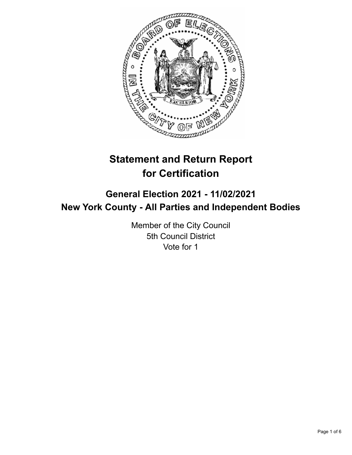

# **Statement and Return Report for Certification**

## **General Election 2021 - 11/02/2021 New York County - All Parties and Independent Bodies**

Member of the City Council 5th Council District Vote for 1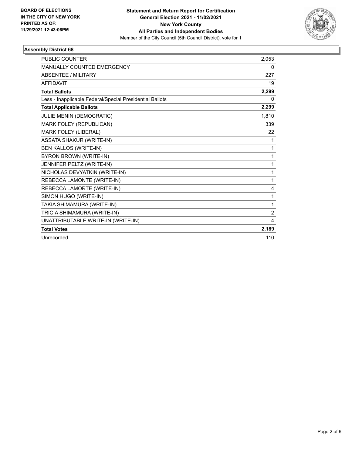

#### **Assembly District 68**

| <b>PUBLIC COUNTER</b>                                    | 2,053          |
|----------------------------------------------------------|----------------|
| <b>MANUALLY COUNTED EMERGENCY</b>                        | 0              |
| <b>ABSENTEE / MILITARY</b>                               | 227            |
| <b>AFFIDAVIT</b>                                         | 19             |
| <b>Total Ballots</b>                                     | 2,299          |
| Less - Inapplicable Federal/Special Presidential Ballots | 0              |
| <b>Total Applicable Ballots</b>                          | 2,299          |
| JULIE MENIN (DEMOCRATIC)                                 | 1.810          |
| MARK FOLEY (REPUBLICAN)                                  | 339            |
| MARK FOLEY (LIBERAL)                                     | 22             |
| <b>ASSATA SHAKUR (WRITE-IN)</b>                          | 1              |
| <b>BEN KALLOS (WRITE-IN)</b>                             | 1              |
| BYRON BROWN (WRITE-IN)                                   | 1              |
| JENNIFER PELTZ (WRITE-IN)                                | 1              |
| NICHOLAS DEVYATKIN (WRITE-IN)                            | 1              |
| REBECCA LAMONTE (WRITE-IN)                               | 1              |
| REBECCA LAMORTE (WRITE-IN)                               | 4              |
| SIMON HUGO (WRITE-IN)                                    | 1              |
| TAKIA SHIMAMURA (WRITE-IN)                               | 1              |
| TRICIA SHIMAMURA (WRITE-IN)                              | $\overline{2}$ |
| UNATTRIBUTABLE WRITE-IN (WRITE-IN)                       | 4              |
| <b>Total Votes</b>                                       | 2,189          |
| Unrecorded                                               | 110            |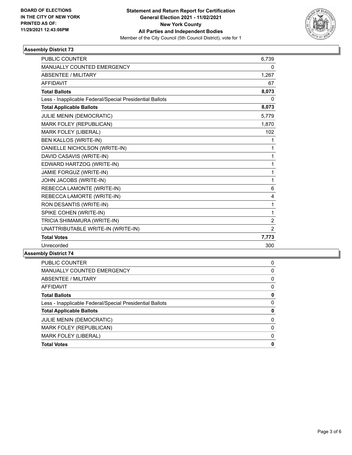

#### **Assembly District 73**

| <b>PUBLIC COUNTER</b>                                    | 6,739          |
|----------------------------------------------------------|----------------|
| MANUALLY COUNTED EMERGENCY                               | 0              |
| <b>ABSENTEE / MILITARY</b>                               | 1,267          |
| <b>AFFIDAVIT</b>                                         | 67             |
| <b>Total Ballots</b>                                     | 8,073          |
| Less - Inapplicable Federal/Special Presidential Ballots | $\Omega$       |
| <b>Total Applicable Ballots</b>                          | 8,073          |
| JULIE MENIN (DEMOCRATIC)                                 | 5,779          |
| MARK FOLEY (REPUBLICAN)                                  | 1,870          |
| MARK FOLEY (LIBERAL)                                     | 102            |
| <b>BEN KALLOS (WRITE-IN)</b>                             | 1              |
| DANIELLE NICHOLSON (WRITE-IN)                            | 1              |
| DAVID CASAVIS (WRITE-IN)                                 | 1              |
| EDWARD HARTZOG (WRITE-IN)                                | 1              |
| JAMIE FORGUZ (WRITE-IN)                                  | 1              |
| JOHN JACOBS (WRITE-IN)                                   | 1              |
| REBECCA LAMONTE (WRITE-IN)                               | 6              |
| REBECCA LAMORTE (WRITE-IN)                               | 4              |
| RON DESANTIS (WRITE-IN)                                  | 1              |
| SPIKE COHEN (WRITE-IN)                                   | 1              |
| TRICIA SHIMAMURA (WRITE-IN)                              | $\overline{2}$ |
| UNATTRIBUTABLE WRITE-IN (WRITE-IN)                       | $\overline{2}$ |
| <b>Total Votes</b>                                       | 7,773          |
| Unrecorded                                               | 300            |

### **Assembly District 74**

| <b>Total Votes</b>                                       | 0        |
|----------------------------------------------------------|----------|
| MARK FOLEY (LIBERAL)                                     | $\Omega$ |
| MARK FOLEY (REPUBLICAN)                                  | $\Omega$ |
| <b>JULIE MENIN (DEMOCRATIC)</b>                          | $\Omega$ |
| <b>Total Applicable Ballots</b>                          | 0        |
| Less - Inapplicable Federal/Special Presidential Ballots | $\Omega$ |
| <b>Total Ballots</b>                                     | 0        |
| AFFIDAVIT                                                | $\Omega$ |
| ABSENTEE / MILITARY                                      | $\Omega$ |
| <b>MANUALLY COUNTED EMERGENCY</b>                        | $\Omega$ |
| <b>PUBLIC COUNTER</b>                                    | 0        |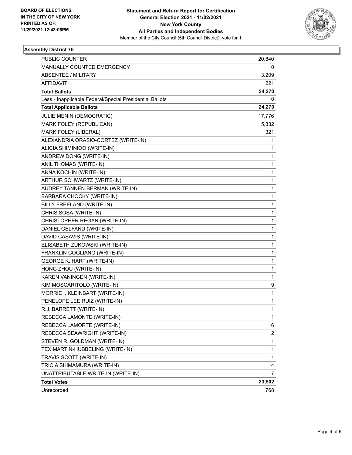

#### **Assembly District 76**

| PUBLIC COUNTER                                           | 20,840      |
|----------------------------------------------------------|-------------|
| MANUALLY COUNTED EMERGENCY                               | 0           |
| ABSENTEE / MILITARY                                      | 3,209       |
| AFFIDAVIT                                                | 221         |
| <b>Total Ballots</b>                                     | 24,270      |
| Less - Inapplicable Federal/Special Presidential Ballots | 0           |
| <b>Total Applicable Ballots</b>                          | 24,270      |
| JULIE MENIN (DEMOCRATIC)                                 | 17,776      |
| MARK FOLEY (REPUBLICAN)                                  | 5,332       |
| MARK FOLEY (LIBERAL)                                     | 321         |
| ALEXANDRIA ORASIO-CORTEZ (WRITE-IN)                      | 1           |
| ALICIA SHIMINIOO (WRITE-IN)                              | 1           |
| ANDREW DONG (WRITE-IN)                                   | 1           |
| ANIL THOMAS (WRITE-IN)                                   | 1           |
| ANNA KOCHIN (WRITE-IN)                                   | $\mathbf 1$ |
| ARTHUR SCHWARTZ (WRITE-IN)                               | 1           |
| AUDREY TANNEN-BERMAN (WRITE-IN)                          | 1           |
| BARBARA CHOCKY (WRITE-IN)                                | 1           |
| BILLY FREELAND (WRITE-IN)                                | 1           |
| CHRIS SOSA (WRITE-IN)                                    | 1           |
| CHRISTOPHER REGAN (WRITE-IN)                             | $\mathbf 1$ |
| DANIEL GELFAND (WRITE-IN)                                | 1           |
| DAVID CASAVIS (WRITE-IN)                                 | 1           |
| ELISABETH ZUKOWSKI (WRITE-IN)                            | 1           |
| FRANKLIN COGLIANO (WRITE-IN)                             | 1           |
| <b>GEORGE K. HART (WRITE-IN)</b>                         | 1           |
| HONG ZHOU (WRITE-IN)                                     | $\mathbf 1$ |
| KAREN VANINGEN (WRITE-IN)                                | 1           |
| KIM MOSCARITOLO (WRITE-IN)                               | 9           |
| MORRIE I. KLEINBART (WRITE-IN)                           | 1           |
| PENELOPE LEE RUIZ (WRITE-IN)                             | 1           |
| R.J. BARRETT (WRITE-IN)                                  | 1           |
| REBECCA LAMONTE (WRITE-IN)                               | 1           |
| REBECCA LAMORTE (WRITE-IN)                               | 16          |
| REBECCA SEAWRIGHT (WRITE-IN)                             | 2           |
| STEVEN R. GOLDMAN (WRITE-IN)                             | $\mathbf 1$ |
| TEX MARTIN-HUBBELING (WRITE-IN)                          | 1           |
| TRAVIS SCOTT (WRITE-IN)                                  | 1           |
| TRICIA SHIMAMURA (WRITE-IN)                              | 14          |
| UNATTRIBUTABLE WRITE-IN (WRITE-IN)                       | 7           |
| <b>Total Votes</b>                                       | 23,502      |
| Unrecorded                                               | 768         |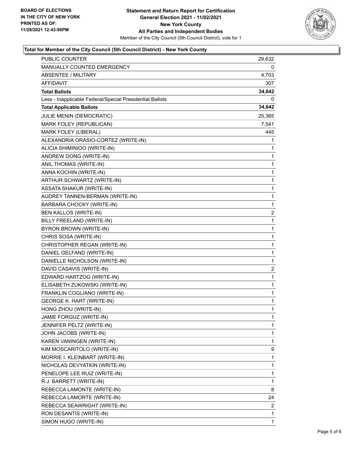

#### **Total for Member of the City Council (5th Council District) - New York County**

| PUBLIC COUNTER                                           | 29,632                  |
|----------------------------------------------------------|-------------------------|
| MANUALLY COUNTED EMERGENCY                               | 0                       |
| <b>ABSENTEE / MILITARY</b>                               | 4,703                   |
| AFFIDAVIT                                                | 307                     |
| <b>Total Ballots</b>                                     | 34,642                  |
| Less - Inapplicable Federal/Special Presidential Ballots | 0                       |
| <b>Total Applicable Ballots</b>                          | 34,642                  |
| JULIE MENIN (DEMOCRATIC)                                 | 25,365                  |
| MARK FOLEY (REPUBLICAN)                                  | 7,541                   |
| MARK FOLEY (LIBERAL)                                     | 445                     |
| ALEXANDRIA ORASIO-CORTEZ (WRITE-IN)                      | 1                       |
| ALICIA SHIMINIOO (WRITE-IN)                              | 1                       |
| ANDREW DONG (WRITE-IN)                                   | 1                       |
| ANIL THOMAS (WRITE-IN)                                   | 1                       |
| ANNA KOCHIN (WRITE-IN)                                   | 1                       |
| ARTHUR SCHWARTZ (WRITE-IN)                               | 1                       |
| <b>ASSATA SHAKUR (WRITE-IN)</b>                          | 1                       |
| AUDREY TANNEN-BERMAN (WRITE-IN)                          | 1                       |
| BARBARA CHOCKY (WRITE-IN)                                | 1                       |
| BEN KALLOS (WRITE-IN)                                    | $\overline{\mathbf{c}}$ |
| BILLY FREELAND (WRITE-IN)                                | 1                       |
| BYRON BROWN (WRITE-IN)                                   | 1                       |
| CHRIS SOSA (WRITE-IN)                                    | 1                       |
| CHRISTOPHER REGAN (WRITE-IN)                             | 1                       |
| DANIEL GELFAND (WRITE-IN)                                | 1                       |
| DANIELLE NICHOLSON (WRITE-IN)                            | 1                       |
| DAVID CASAVIS (WRITE-IN)                                 | 2                       |
| EDWARD HARTZOG (WRITE-IN)                                | 1                       |
| ELISABETH ZUKOWSKI (WRITE-IN)                            | 1                       |
| FRANKLIN COGLIANO (WRITE-IN)                             | 1                       |
| <b>GEORGE K. HART (WRITE-IN)</b>                         | 1                       |
| HONG ZHOU (WRITE-IN)                                     | $\mathbf{1}$            |
| JAMIE FORGUZ (WRITE-IN)                                  | 1                       |
| JENNIFER PELTZ (WRITE-IN)                                | 1                       |
| JOHN JACOBS (WRITE-IN)                                   | 1                       |
| KAREN VANINGEN (WRITE-IN)                                | 1                       |
| KIM MOSCARITOLO (WRITE-IN)                               | 9                       |
| MORRIE I. KLEINBART (WRITE-IN)                           | 1                       |
| NICHOLAS DEVYATKIN (WRITE-IN)                            | 1                       |
| PENELOPE LEE RUIZ (WRITE-IN)                             | 1                       |
| R.J. BARRETT (WRITE-IN)                                  | 1                       |
| REBECCA LAMONTE (WRITE-IN)                               | 8                       |
| REBECCA LAMORTE (WRITE-IN)                               | 24                      |
| REBECCA SEAWRIGHT (WRITE-IN)                             | 2                       |
| RON DESANTIS (WRITE-IN)                                  | 1                       |
| SIMON HUGO (WRITE-IN)                                    | 1                       |